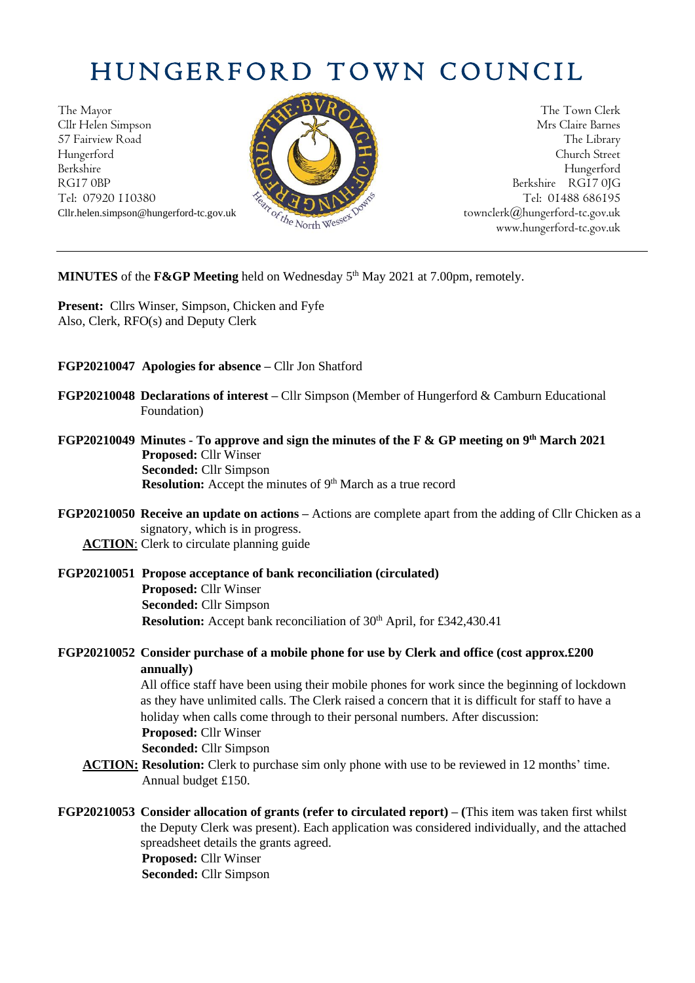# HUNGERFORD TOWN COUNCIL

The Mayor The Town Clerk Cllr Helen Simpson Mrs Claire Barnes 57 Fairview Road The Library (1999) and the Library (1999) and the Library (1999) and the Library (1999) and the Library (1999) and the Library (1999) and the Library (1999) and the Library (1999) and the Library (1999) an Hungerford Church Street Berkshire Hungerford RG17 0BP Berkshire RG17 0JG Tel: 07920 110380  $\frac{1}{2} \sqrt{2} \sqrt{2} N N^2$ 



Cllr.helen.simpson@hungerford-tc.gov.uk [townclerk@hungerford-tc.gov.uk](mailto:townclerk@hungerford-tc.gov.uk) townclerk@hungerford-tc.gov.uk www.hungerford-tc.gov.uk www.hungerford-tc.gov.uk

**MINUTES** of the **F&GP Meeting** held on Wednesday 5 th May 2021 at 7.00pm, remotely.

**Present:** Cllrs Winser, Simpson, Chicken and Fyfe Also, Clerk, RFO(s) and Deputy Clerk

- **FGP20210047 Apologies for absence –** Cllr Jon Shatford
- **FGP20210048 Declarations of interest –** Cllr Simpson (Member of Hungerford & Camburn Educational Foundation)
- **FGP20210049 Minutes - To approve and sign the minutes of the F & GP meeting on 9 th March 2021 Proposed:** Cllr Winser **Seconded:** Cllr Simpson **Resolution:** Accept the minutes of 9<sup>th</sup> March as a true record
- **FGP20210050 Receive an update on actions –** Actions are complete apart from the adding of Cllr Chicken as a signatory, which is in progress. **ACTION**: Clerk to circulate planning guide
- **FGP20210051 Propose acceptance of bank reconciliation (circulated) Proposed:** Cllr Winser **Seconded:** Cllr Simpson **Resolution:** Accept bank reconciliation of 30<sup>th</sup> April, for £342,430.41
- **FGP20210052 Consider purchase of a mobile phone for use by Clerk and office (cost approx.£200 annually)**

All office staff have been using their mobile phones for work since the beginning of lockdown as they have unlimited calls. The Clerk raised a concern that it is difficult for staff to have a holiday when calls come through to their personal numbers. After discussion: **Proposed:** Cllr Winser **Seconded:** Cllr Simpson

- **ACTION: Resolution:** Clerk to purchase sim only phone with use to be reviewed in 12 months' time. Annual budget £150.
- **FGP20210053 Consider allocation of grants (refer to circulated report) – (**This item was taken first whilst the Deputy Clerk was present). Each application was considered individually, and the attached spreadsheet details the grants agreed. **Proposed:** Cllr Winser **Seconded:** Cllr Simpson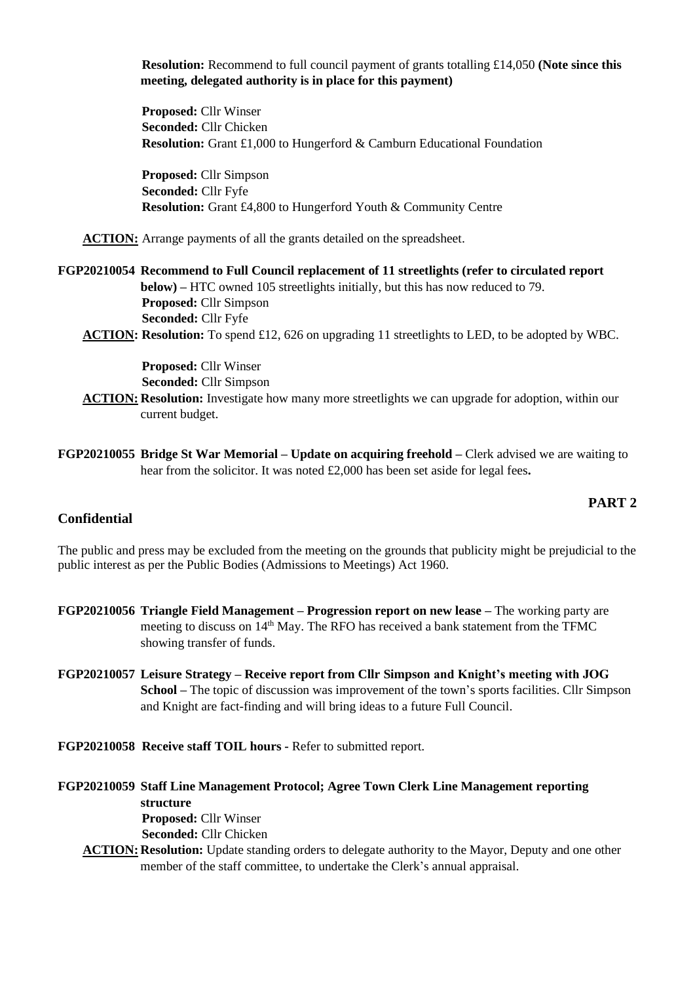**Resolution:** Recommend to full council payment of grants totalling £14,050 **(Note since this meeting, delegated authority is in place for this payment)**

**Proposed:** Cllr Winser **Seconded:** Cllr Chicken **Resolution:** Grant £1,000 to Hungerford & Camburn Educational Foundation

**Proposed:** Cllr Simpson **Seconded:** Cllr Fyfe **Resolution:** Grant £4,800 to Hungerford Youth & Community Centre

**ACTION:** Arrange payments of all the grants detailed on the spreadsheet.

**FGP20210054 Recommend to Full Council replacement of 11 streetlights (refer to circulated report below) –** HTC owned 105 streetlights initially, but this has now reduced to 79. **Proposed:** Cllr Simpson **Seconded:** Cllr Fyfe **ACTION: Resolution:** To spend £12, 626 on upgrading 11 streetlights to LED, to be adopted by WBC.

> **Proposed:** Cllr Winser **Seconded:** Cllr Simpson

- **ACTION: Resolution:** Investigate how many more streetlights we can upgrade for adoption, within our current budget.
- **FGP20210055 Bridge St War Memorial – Update on acquiring freehold –** Clerk advised we are waiting to hear from the solicitor. It was noted £2,000 has been set aside for legal fees**.**

### **PART 2**

### **Confidential**

The public and press may be excluded from the meeting on the grounds that publicity might be prejudicial to the public interest as per the Public Bodies (Admissions to Meetings) Act 1960.

- **FGP20210056 Triangle Field Management – Progression report on new lease –** The working party are meeting to discuss on 14<sup>th</sup> May. The RFO has received a bank statement from the TFMC showing transfer of funds.
- **FGP20210057 Leisure Strategy – Receive report from Cllr Simpson and Knight's meeting with JOG School –** The topic of discussion was improvement of the town's sports facilities. Cllr Simpson and Knight are fact-finding and will bring ideas to a future Full Council.

#### **FGP20210058 Receive staff TOIL hours -** Refer to submitted report.

- **FGP20210059 Staff Line Management Protocol; Agree Town Clerk Line Management reporting structure Proposed:** Cllr Winser **Seconded:** Cllr Chicken
	- **ACTION: Resolution:** Update standing orders to delegate authority to the Mayor, Deputy and one other member of the staff committee, to undertake the Clerk's annual appraisal.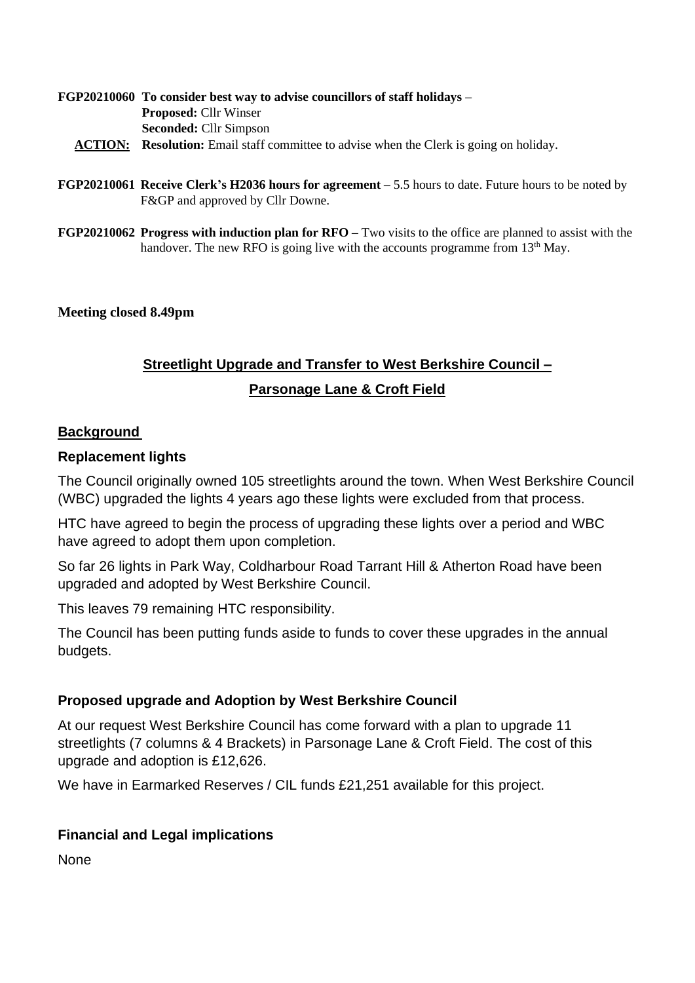### **FGP20210060 To consider best way to advise councillors of staff holidays – Proposed:** Cllr Winser **Seconded:** Cllr Simpson

- **ACTION: Resolution:** Email staff committee to advise when the Clerk is going on holiday.
- **FGP20210061 Receive Clerk's H2036 hours for agreement –** 5.5 hours to date. Future hours to be noted by F&GP and approved by Cllr Downe.
- **FGP20210062 Progress with induction plan for RFO –** Two visits to the office are planned to assist with the handover. The new RFO is going live with the accounts programme from  $13<sup>th</sup>$  May.

### **Meeting closed 8.49pm**

# **Streetlight Upgrade and Transfer to West Berkshire Council – Parsonage Lane & Croft Field**

### **Background**

### **Replacement lights**

The Council originally owned 105 streetlights around the town. When West Berkshire Council (WBC) upgraded the lights 4 years ago these lights were excluded from that process.

HTC have agreed to begin the process of upgrading these lights over a period and WBC have agreed to adopt them upon completion.

So far 26 lights in Park Way, Coldharbour Road Tarrant Hill & Atherton Road have been upgraded and adopted by West Berkshire Council.

This leaves 79 remaining HTC responsibility.

The Council has been putting funds aside to funds to cover these upgrades in the annual budgets.

### **Proposed upgrade and Adoption by West Berkshire Council**

At our request West Berkshire Council has come forward with a plan to upgrade 11 streetlights (7 columns & 4 Brackets) in Parsonage Lane & Croft Field. The cost of this upgrade and adoption is £12,626.

We have in Earmarked Reserves / CIL funds £21,251 available for this project.

### **Financial and Legal implications**

None